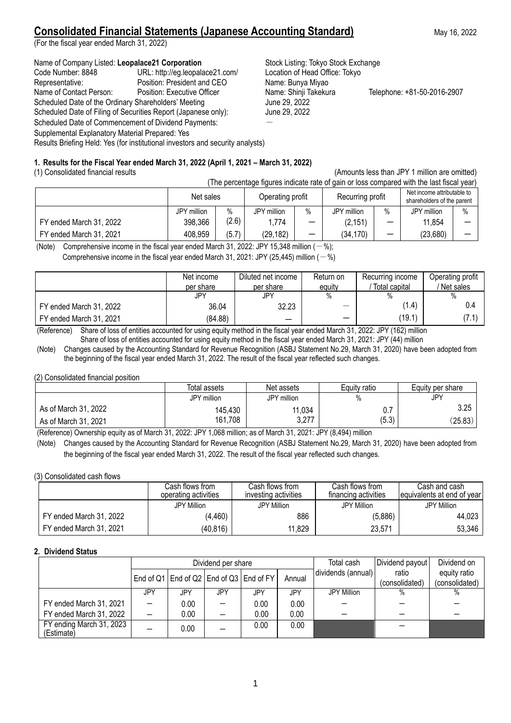# **Consolidated Financial Statements (Japanese Accounting Standard)** May 16, 2022

(For the fiscal year ended March 31, 2022)

### Name of Company Listed: Leopalace21 Corporation **Stock Listing: Tokyo Stock Exchange**

Code Number: 8848 URL: http://eg.leopalace21.com/ Location of Head Office: Tokyo Representative: Position: President and CEO Name: Bunya Miyao<br>
Name of Contact Person: Position: Executive Officer Name: Shinji Takekura Name of Contact Person: Position: Executive Officer Name: Shinji Takekura Telephone: +81-50-2016-2907 Scheduled Date of the Ordinary Shareholders' Meeting June 29, 2022 Scheduled Date of Filing of Securities Report (Japanese only): June 29, 2022 Scheduled Date of Commencement of Dividend Payments: Supplemental Explanatory Material Prepared: Yes Results Briefing Held: Yes (for institutional investors and security analysts)

(1) Consolidated financial results (Amounts less than JPY 1 million are omitted) (The percentage figures indicate rate of gain or loss compared with the last fiscal ve

|                         | The percentage liquies indicate rate of gain or loss compared with the last liscal year). |       |                  |      |                  |                          |                                                          |      |  |  |  |
|-------------------------|-------------------------------------------------------------------------------------------|-------|------------------|------|------------------|--------------------------|----------------------------------------------------------|------|--|--|--|
|                         | Net sales                                                                                 |       | Operating profit |      | Recurring profit |                          | Net income attributable to<br>shareholders of the parent |      |  |  |  |
|                         | JPY million                                                                               | $\%$  | JPY million      | $\%$ | JPY million      | $\%$                     | JPY million                                              | $\%$ |  |  |  |
| FY ended March 31, 2022 | 398,366                                                                                   | (2.6) | 1.774            | -    | (2, 151)         | $\overline{\phantom{0}}$ | 11,854                                                   |      |  |  |  |
| FY ended March 31, 2021 | 408,959                                                                                   | (5.7) | (29, 182)        |      | (34,170)         | $\overline{\phantom{m}}$ | (23,680)                                                 |      |  |  |  |

(Note) Comprehensive income in the fiscal year ended March 31, 2022: JPY 15,348 million  $(-\%)$ ;

**1. Results for the Fiscal Year ended March 31, 2022 (April 1, 2021 – March 31, 2022)**

Comprehensive income in the fiscal year ended March 31, 2021: JPY (25,445) million ( $-$ %)

|                         | Net income | Diluted net income       | Return on                     | Recurring income | Operating profit |
|-------------------------|------------|--------------------------|-------------------------------|------------------|------------------|
|                         | per share  | per share                | equity                        | Total capital    | Net sales        |
|                         | JPY        | JPY                      | $\%$                          | %                |                  |
| FY ended March 31, 2022 | 36.04      | 32.23                    | $\overbrace{\phantom{aaaaa}}$ | (1.4)            | 0.4              |
| FY ended March 31, 2021 | (84.88)    | $\overline{\phantom{m}}$ |                               | (19.1)           | (7.1)            |

(Reference) Share of loss of entities accounted for using equity method in the fiscal year ended March 31, 2022: JPY (162) million Share of loss of entities accounted for using equity method in the fiscal year ended March 31, 2021: JPY (44) million

(Note) Changes caused by the Accounting Standard for Revenue Recognition (ASBJ Statement No.29, March 31, 2020) have been adopted from the beginning of the fiscal year ended March 31, 2022. The result of the fiscal year reflected such changes.

(2) Consolidated financial position

|                      | Total assets | Net assets     | Equity ratio | Equity per share |
|----------------------|--------------|----------------|--------------|------------------|
|                      | JPY million  | JPY million    | $\%$         | JPY              |
| As of March 31, 2022 | 145,430      | 11,034         | 0.7          | 3.25             |
| As of March 31, 2021 | 161,708      | 2 777<br>، ∠.د | (5.3)        | (25.83)          |
|                      |              |                |              |                  |

(Reference) Ownership equity as of March 31, 2022: JPY 1,068 million; as of March 31, 2021: JPY (8,494) million

(Note) Changes caused by the Accounting Standard for Revenue Recognition (ASBJ Statement No.29, March 31, 2020) have been adopted from the beginning of the fiscal year ended March 31, 2022. The result of the fiscal year reflected such changes.

(3) Consolidated cash flows

|                         | Cash flows from .    | Cash flows from      | Cash flows from      | Cash and cash               |
|-------------------------|----------------------|----------------------|----------------------|-----------------------------|
|                         | operating activities | investing activities | financing activities | Tequivalents at end of year |
|                         | JPY Million          | <b>JPY Million</b>   | JPY Million          | JPY Million                 |
| FY ended March 31, 2022 | (4, 460)             | 886                  | (5,886)              | 44,023                      |
| FY ended March 31, 2021 | (40,816)             | 11,829               | 23,571               | 53,346                      |

### **2. Dividend Status**

|                                        | Dividend per share       |      |     |                                               |        |                    |                | Dividend on<br>Dividend payout |
|----------------------------------------|--------------------------|------|-----|-----------------------------------------------|--------|--------------------|----------------|--------------------------------|
|                                        |                          |      |     | End of Q1   End of Q2   End of Q3   End of FY | Annual | dividends (annual) | ratio          | equity ratio                   |
|                                        |                          |      |     |                                               |        |                    | (consolidated) | (consolidated)                 |
|                                        | JPY                      | JPY  | JPY | JPY                                           | JPY    | <b>JPY Million</b> |                | $\%$                           |
| FY ended March 31, 2021                |                          | 0.00 |     | 0.00                                          | 0.00   |                    |                |                                |
| FY ended March 31, 2022                | $\overline{\phantom{0}}$ | 0.00 |     | 0.00                                          | 0.00   |                    |                |                                |
| FY ending March 31, 2023<br>(Estimate) |                          | 0.00 |     | 0.00                                          | 0.00   |                    |                |                                |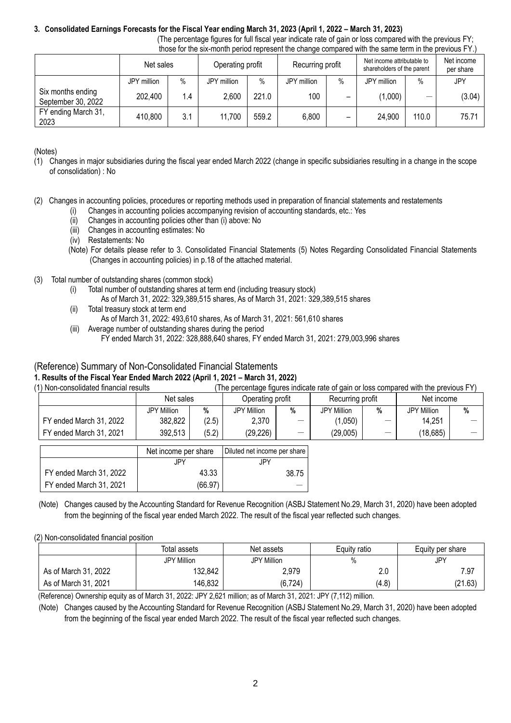### **3. Consolidated Earnings Forecasts for the Fiscal Year ending March 31, 2023 (April 1, 2022 – March 31, 2023)**

(The percentage figures for full fiscal year indicate rate of gain or loss compared with the previous FY; those for the six-month period represent the change compared with the same term in the previous FY.)

| alogo ioi alo oktribilati polioa roprodotta alo olialigo odilipatoa marraro dallio tollit ili alo promoad illi |             |      |                  |       |                  |      |                                                          |       |                         |
|----------------------------------------------------------------------------------------------------------------|-------------|------|------------------|-------|------------------|------|----------------------------------------------------------|-------|-------------------------|
|                                                                                                                | Net sales   |      | Operating profit |       | Recurring profit |      | Net income attributable to<br>shareholders of the parent |       | Net income<br>per share |
|                                                                                                                | JPY million | $\%$ | JPY million      | $\%$  | JPY million      | $\%$ | JPY million                                              | $\%$  | JPY                     |
| Six months ending<br>September 30, 2022                                                                        | 202,400     | 1.4  | 2,600            | 221.0 | 100              | -    | (1,000)                                                  |       | (3.04)                  |
| FY ending March 31,<br>2023                                                                                    | 410,800     | 3.1  | 11,700           | 559.2 | 6,800            | -    | 24,900                                                   | 110.0 | 75.71                   |

(Notes)

- (1) Changes in major subsidiaries during the fiscal year ended March 2022 (change in specific subsidiaries resulting in a change in the scope of consolidation) : No
- (2) Changes in accounting policies, procedures or reporting methods used in preparation of financial statements and restatements
	- Changes in accounting policies accompanying revision of accounting standards, etc.: Yes
	- (ii) Changes in accounting policies other than (i) above: No
	- (iii) Changes in accounting estimates: No
	- (iv) Restatements: No
	- (Note) For details please refer to 3. Consolidated Financial Statements (5) Notes Regarding Consolidated Financial Statements (Changes in accounting policies) in p.18 of the attached material.
- (3) Total number of outstanding shares (common stock)
	- (i) Total number of outstanding shares at term end (including treasury stock)
		- As of March 31, 2022: 329,389,515 shares, As of March 31, 2021: 329,389,515 shares
	- (ii) Total treasury stock at term end
		- As of March 31, 2022: 493,610 shares, As of March 31, 2021: 561,610 shares
	- (iii) Average number of outstanding shares during the period FY ended March 31, 2022: 328,888,640 shares, FY ended March 31, 2021: 279,003,996 shares

## (Reference) Summary of Non-Consolidated Financial Statements

### **1. Results of the Fiscal Year Ended March 2022 (April 1, 2021 – March 31, 2022)**

(1) Non-consolidated financial results (The percentage figures indicate rate of gain or loss compared with the previous FY)

|                         | Net sales          |       | Operating profit |                          | Recurring profit   |    | Net income     |   |
|-------------------------|--------------------|-------|------------------|--------------------------|--------------------|----|----------------|---|
|                         | <b>JPY Million</b> | %     | JPY Million      | %                        | <b>JPY Million</b> | %  | Million<br>JPY | % |
| FY ended March 31, 2022 | 382,822            | (2.5) | 2,370            | $\overline{\phantom{m}}$ | ,050)              | -- | 14,251         |   |
| FY ended March 31, 2021 | 392,513            | (5.2) | (29, 226)        |                          | (29,005)           |    | (18,685)       |   |

|                         | Net income per share | Diluted net income per share |
|-------------------------|----------------------|------------------------------|
|                         | JPY.                 | JPY                          |
| FY ended March 31, 2022 | 43.33                | 38.75                        |
| FY ended March 31, 2021 | (66.97)              |                              |

(Note) Changes caused by the Accounting Standard for Revenue Recognition (ASBJ Statement No.29, March 31, 2020) have been adopted from the beginning of the fiscal year ended March 2022. The result of the fiscal year reflected such changes.

### (2) Non-consolidated financial position

|                      | Total assets | Net assets  | Equity ratio | Equity per share |  |
|----------------------|--------------|-------------|--------------|------------------|--|
|                      | JPY Million  | JPY Million | $\%$         | <b>JPY</b>       |  |
| As of March 31, 2022 | 132,842      | 2,979       | 2.0          | 7.97             |  |
| As of March 31, 2021 | 146,832      | (6, 724)    | (4.8)        | (21.63)          |  |

(Reference) Ownership equity as of March 31, 2022: JPY 2,621 million; as of March 31, 2021: JPY (7,112) million.

(Note) Changes caused by the Accounting Standard for Revenue Recognition (ASBJ Statement No.29, March 31, 2020) have been adopted from the beginning of the fiscal year ended March 2022. The result of the fiscal year reflected such changes.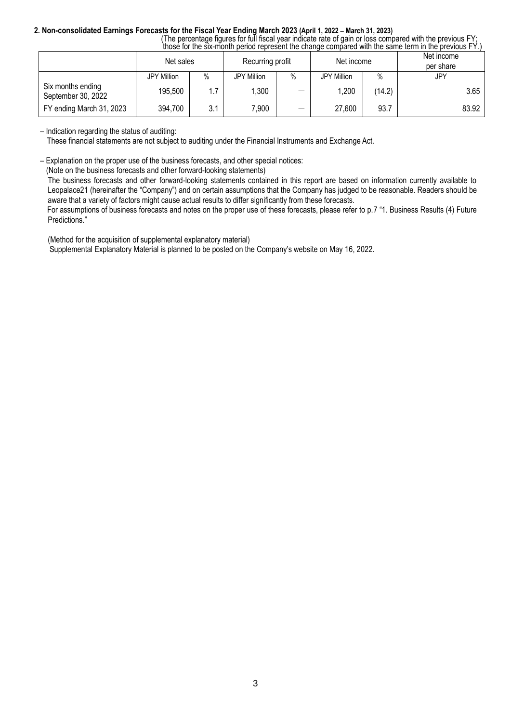# **2. Non-consolidated Earnings Forecasts for the Fiscal Year Ending March 2023 (April 1, 2022 – March 31, 2023)**

 (The percentage figures for full fiscal year indicate rate of gain or loss compared with the previous FY; those for the six-month period represent the change compared with the same term in the previous FY.)

|                                         | Net sales   |      | Recurring profit |   | Net income         |        | Net income<br>per share |  |
|-----------------------------------------|-------------|------|------------------|---|--------------------|--------|-------------------------|--|
|                                         | JPY Million | $\%$ | JPY Million      | % | <b>JPY Million</b> | $\%$   | <b>JPY</b>              |  |
| Six months ending<br>September 30, 2022 | 195,500     | 1.7  | ,300             |   | ,200               | (14.2) | 3.65                    |  |
| FY ending March 31, 2023                | 394,700     | 3.1  | 7,900            | — | 27,600             | 93.7   | 83.92                   |  |

– Indication regarding the status of auditing:

These financial statements are not subject to auditing under the Financial Instruments and Exchange Act.

– Explanation on the proper use of the business forecasts, and other special notices:

(Note on the business forecasts and other forward-looking statements)

The business forecasts and other forward-looking statements contained in this report are based on information currently available to Leopalace21 (hereinafter the "Company") and on certain assumptions that the Company has judged to be reasonable. Readers should be aware that a variety of factors might cause actual results to differ significantly from these forecasts.

For assumptions of business forecasts and notes on the proper use of these forecasts, please refer to p.7 "1. Business Results (4) Future Predictions."

(Method for the acquisition of supplemental explanatory material)

Supplemental Explanatory Material is planned to be posted on the Company's website on May 16, 2022.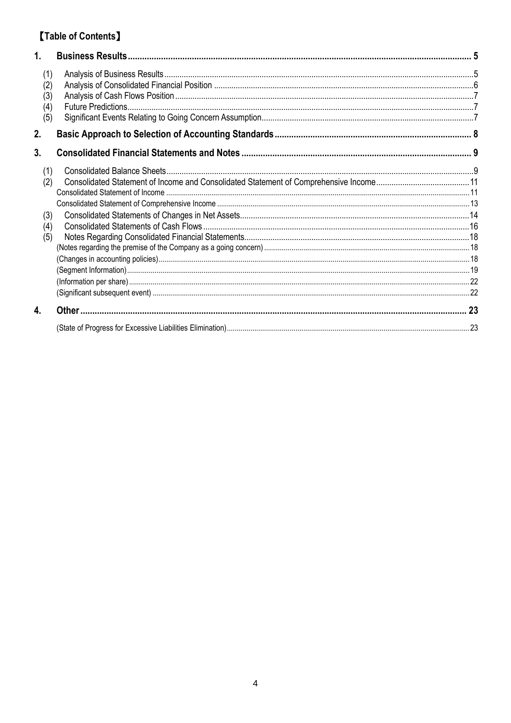# **[Table of Contents]**

| 1.                              |  |
|---------------------------------|--|
| (1)<br>(2)<br>(3)<br>(4)<br>(5) |  |
| 2.                              |  |
| 3.                              |  |
| (1)<br>(2)<br>(3)<br>(4)<br>(5) |  |
| 4.                              |  |
|                                 |  |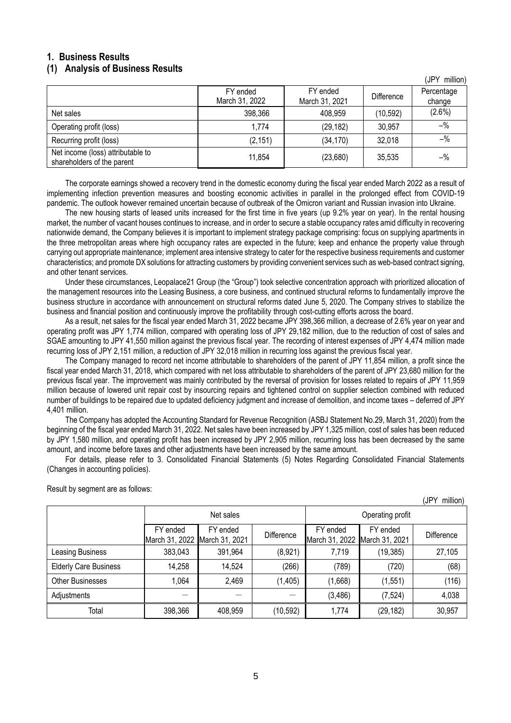# <span id="page-4-0"></span>**1. Business Results**

### <span id="page-4-1"></span>**(1) Analysis of Business Results**

|                                                                 |                            |                            |                   | , ויטוויוויוויוויטן  |
|-----------------------------------------------------------------|----------------------------|----------------------------|-------------------|----------------------|
|                                                                 | FY ended<br>March 31, 2022 | FY ended<br>March 31, 2021 | <b>Difference</b> | Percentage<br>change |
| Net sales                                                       | 398,366                    | 408,959                    | (10, 592)         | $(2.6\%)$            |
| Operating profit (loss)                                         | 1.774                      | (29, 182)                  | 30,957            | $-$ %                |
| Recurring profit (loss)                                         | (2, 151)                   | (34, 170)                  | 32,018            | $-$ %                |
| Net income (loss) attributable to<br>shareholders of the parent | 11,854                     | (23,680)                   | 35,535            | $-$ %                |

The corporate earnings showed a recovery trend in the domestic economy during the fiscal year ended March 2022 as a result of implementing infection prevention measures and boosting economic activities in parallel in the prolonged effect from COVID-19 pandemic. The outlook however remained uncertain because of outbreak of the Omicron variant and Russian invasion into Ukraine.

The new housing starts of leased units increased for the first time in five years (up 9.2% year on year). In the rental housing market, the number of vacant houses continues to increase, and in order to secure a stable occupancy rates amid difficulty in recovering nationwide demand, the Company believes it is important to implement strategy package comprising: focus on supplying apartments in the three metropolitan areas where high occupancy rates are expected in the future; keep and enhance the property value through carrying out appropriate maintenance; implement area intensive strategy to cater for the respective business requirements and customer characteristics; and promote DX solutions for attracting customers by providing convenient services such as web-based contract signing, and other tenant services.

Under these circumstances, Leopalace21 Group (the "Group") took selective concentration approach with prioritized allocation of the management resources into the Leasing Business, a core business, and continued structural reforms to fundamentally improve the business structure in accordance with announcement on structural reforms dated June 5, 2020. The Company strives to stabilize the business and financial position and continuously improve the profitability through cost-cutting efforts across the board.

As a result, net sales for the fiscal year ended March 31, 2022 became JPY 398,366 million, a decrease of 2.6% year on year and operating profit was JPY 1,774 million, compared with operating loss of JPY 29,182 million, due to the reduction of cost of sales and SGAE amounting to JPY 41,550 million against the previous fiscal year. The recording of interest expenses of JPY 4,474 million made recurring loss of JPY 2,151 million, a reduction of JPY 32,018 million in recurring loss against the previous fiscal year.

The Company managed to record net income attributable to shareholders of the parent of JPY 11,854 million, a profit since the fiscal year ended March 31, 2018, which compared with net loss attributable to shareholders of the parent of JPY 23,680 million for the previous fiscal year. The improvement was mainly contributed by the reversal of provision for losses related to repairs of JPY 11,959 million because of lowered unit repair cost by insourcing repairs and tightened control on supplier selection combined with reduced number of buildings to be repaired due to updated deficiency judgment and increase of demolition, and income taxes – deferred of JPY 4,401 million.

The Company has adopted the Accounting Standard for Revenue Recognition (ASBJ Statement No.29, March 31, 2020) from the beginning of the fiscal year ended March 31, 2022. Net sales have been increased by JPY 1,325 million, cost of sales has been reduced by JPY 1,580 million, and operating profit has been increased by JPY 2,905 million, recurring loss has been decreased by the same amount, and income before taxes and other adjustments have been increased by the same amount.

For details, please refer to 3. Consolidated Financial Statements (5) Notes Regarding Consolidated Financial Statements (Changes in accounting policies).

|                              |                            |                            |            |                            |                            | (JPT MIIIION) |  |
|------------------------------|----------------------------|----------------------------|------------|----------------------------|----------------------------|---------------|--|
|                              | Net sales                  |                            |            | Operating profit           |                            |               |  |
|                              | FY ended<br>March 31, 2022 | FY ended<br>March 31, 2021 | Difference | FY ended<br>March 31, 2022 | FY ended<br>March 31, 2021 | Difference    |  |
| Leasing Business             | 383,043                    | 391,964                    | (8,921)    | 7,719                      | (19, 385)                  | 27,105        |  |
| <b>Elderly Care Business</b> | 14,258                     | 14,524                     | (266)      | (789)                      | (720)                      | (68)          |  |
| <b>Other Businesses</b>      | 1,064                      | 2,469                      | (1, 405)   | (1,668)                    | (1, 551)                   | (116)         |  |
| Adjustments                  |                            |                            |            | (3, 486)                   | (7, 524)                   | 4,038         |  |
| Total                        | 398,366                    | 408,959                    | (10, 592)  | 1,774                      | (29, 182)                  | 30,957        |  |

Result by segment are as follows:

(JPY million)

 $\ell$  million)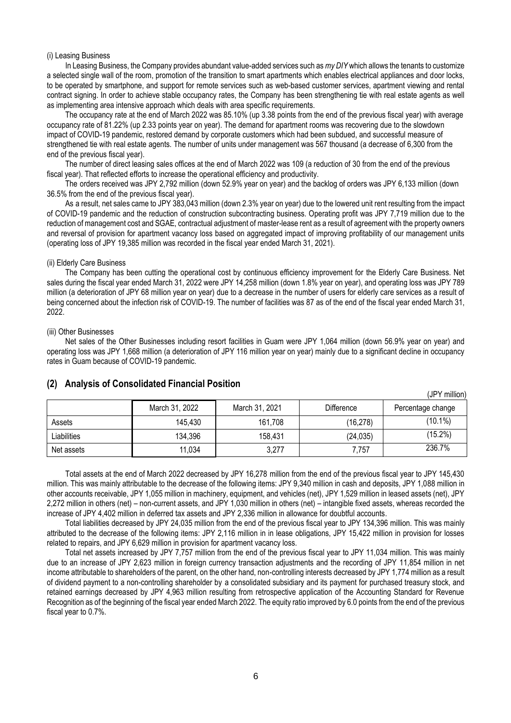#### (i) Leasing Business

In Leasing Business, the Company provides abundant value-added services such as *my DIY* which allows the tenants to customize a selected single wall of the room, promotion of the transition to smart apartments which enables electrical appliances and door locks, to be operated by smartphone, and support for remote services such as web-based customer services, apartment viewing and rental contract signing. In order to achieve stable occupancy rates, the Company has been strengthening tie with real estate agents as well as implementing area intensive approach which deals with area specific requirements.

The occupancy rate at the end of March 2022 was 85.10% (up 3.38 points from the end of the previous fiscal year) with average occupancy rate of 81.22% (up 2.33 points year on year). The demand for apartment rooms was recovering due to the slowdown impact of COVID-19 pandemic, restored demand by corporate customers which had been subdued, and successful measure of strengthened tie with real estate agents. The number of units under management was 567 thousand (a decrease of 6,300 from the end of the previous fiscal year).

The number of direct leasing sales offices at the end of March 2022 was 109 (a reduction of 30 from the end of the previous fiscal year). That reflected efforts to increase the operational efficiency and productivity.

The orders received was JPY 2,792 million (down 52.9% year on year) and the backlog of orders was JPY 6,133 million (down 36.5% from the end of the previous fiscal year).

As a result, net sales came to JPY 383,043 million (down 2.3% year on year) due to the lowered unit rent resulting from the impact of COVID-19 pandemic and the reduction of construction subcontracting business. Operating profit was JPY 7,719 million due to the reduction of management cost and SGAE, contractual adjustment of master-lease rent as a result of agreement with the property owners and reversal of provision for apartment vacancy loss based on aggregated impact of improving profitability of our management units (operating loss of JPY 19,385 million was recorded in the fiscal year ended March 31, 2021).

#### (ii) Elderly Care Business

The Company has been cutting the operational cost by continuous efficiency improvement for the Elderly Care Business. Net sales during the fiscal year ended March 31, 2022 were JPY 14,258 million (down 1.8% year on year), and operating loss was JPY 789 million (a deterioration of JPY 68 million year on year) due to a decrease in the number of users for elderly care services as a result of being concerned about the infection risk of COVID-19. The number of facilities was 87 as of the end of the fiscal year ended March 31, 2022.

#### (iii) Other Businesses

Net sales of the Other Businesses including resort facilities in Guam were JPY 1,064 million (down 56.9% year on year) and operating loss was JPY 1,668 million (a deterioration of JPY 116 million year on year) mainly due to a significant decline in occupancy rates in Guam because of COVID-19 pandemic.

|             |                |                |            | ו חטו<br>- 11111110117 |
|-------------|----------------|----------------|------------|------------------------|
|             | March 31, 2022 | March 31, 2021 | Difference | Percentage change      |
| Assets      | 145.430        | 161,708        | (16,278)   | $(10.1\%)$             |
| Liabilities | 134,396        | 158,431        | (24, 035)  | $(15.2\%)$             |
| Net assets  | 11,034         | 3,277          | 7.757      | 236.7%                 |

(JPY million)

### <span id="page-5-0"></span>**(2) Analysis of Consolidated Financial Position**

Total assets at the end of March 2022 decreased by JPY 16,278 million from the end of the previous fiscal year to JPY 145,430 million. This was mainly attributable to the decrease of the following items: JPY 9,340 million in cash and deposits, JPY 1,088 million in other accounts receivable, JPY 1,055 million in machinery, equipment, and vehicles (net), JPY 1,529 million in leased assets (net), JPY 2,272 million in others (net) – non-current assets, and JPY 1,030 million in others (net) – intangible fixed assets, whereas recorded the increase of JPY 4,402 million in deferred tax assets and JPY 2,336 million in allowance for doubtful accounts.

Total liabilities decreased by JPY 24,035 million from the end of the previous fiscal year to JPY 134,396 million. This was mainly attributed to the decrease of the following items: JPY 2,116 million in in lease obligations, JPY 15,422 million in provision for losses related to repairs, and JPY 6,629 million in provision for apartment vacancy loss.

Total net assets increased by JPY 7,757 million from the end of the previous fiscal year to JPY 11,034 million. This was mainly due to an increase of JPY 2,623 million in foreign currency transaction adjustments and the recording of JPY 11,854 million in net income attributable to shareholders of the parent, on the other hand, non-controlling interests decreased by JPY 1,774 million as a result of dividend payment to a non-controlling shareholder by a consolidated subsidiary and its payment for purchased treasury stock, and retained earnings decreased by JPY 4,963 million resulting from retrospective application of the Accounting Standard for Revenue Recognition as of the beginning of the fiscal year ended March 2022. The equity ratio improved by 6.0 points from the end of the previous fiscal year to 0.7%.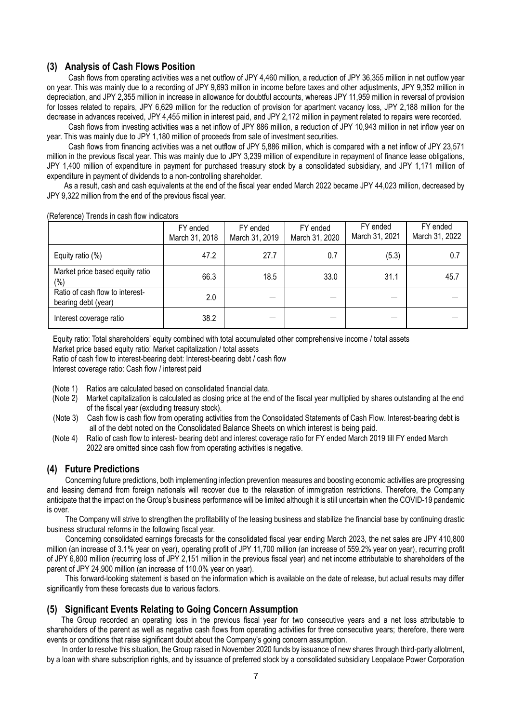### <span id="page-6-0"></span>**(3) Analysis of Cash Flows Position**

Cash flows from operating activities was a net outflow of JPY 4,460 million, a reduction of JPY 36,355 million in net outflow year on year. This was mainly due to a recording of JPY 9,693 million in income before taxes and other adjustments, JPY 9,352 million in depreciation, and JPY 2,355 million in increase in allowance for doubtful accounts, whereas JPY 11,959 million in reversal of provision for losses related to repairs, JPY 6,629 million for the reduction of provision for apartment vacancy loss, JPY 2,188 million for the decrease in advances received, JPY 4,455 million in interest paid, and JPY 2,172 million in payment related to repairs were recorded.

Cash flows from investing activities was a net inflow of JPY 886 million, a reduction of JPY 10,943 million in net inflow year on year. This was mainly due to JPY 1,180 million of proceeds from sale of investment securities.

Cash flows from financing activities was a net outflow of JPY 5,886 million, which is compared with a net inflow of JPY 23,571 million in the previous fiscal year. This was mainly due to JPY 3,239 million of expenditure in repayment of finance lease obligations, JPY 1,400 million of expenditure in payment for purchased treasury stock by a consolidated subsidiary, and JPY 1,171 million of expenditure in payment of dividends to a non-controlling shareholder.

As a result, cash and cash equivalents at the end of the fiscal year ended March 2022 became JPY 44,023 million, decreased by JPY 9,322 million from the end of the previous fiscal year.

|  | (Reference) Trends in cash flow indicators |  |
|--|--------------------------------------------|--|
|  |                                            |  |

|                                                        | FY ended<br>March 31, 2018 | FY ended<br>March 31, 2019 | FY ended<br>March 31, 2020 | FY ended<br>March 31, 2021 | FY ended<br>March 31, 2022 |
|--------------------------------------------------------|----------------------------|----------------------------|----------------------------|----------------------------|----------------------------|
| Equity ratio $(\%)$                                    | 47.2                       | 27.7                       | 0.7                        | (5.3)                      | 0.7                        |
| Market price based equity ratio<br>(%)                 | 66.3                       | 18.5                       | 33.0                       | 31.1                       | 45.7                       |
| Ratio of cash flow to interest-<br>bearing debt (year) | 2.0                        |                            |                            |                            |                            |
| Interest coverage ratio                                | 38.2                       |                            |                            |                            |                            |

Equity ratio: Total shareholders' equity combined with total accumulated other comprehensive income / total assets

Market price based equity ratio: Market capitalization / total assets

Ratio of cash flow to interest-bearing debt: Interest-bearing debt / cash flow

Interest coverage ratio: Cash flow / interest paid

- (Note 1) Ratios are calculated based on consolidated financial data.
- (Note 2) Market capitalization is calculated as closing price at the end of the fiscal year multiplied by shares outstanding at the end of the fiscal year (excluding treasury stock).
- (Note 3) Cash flow is cash flow from operating activities from the Consolidated Statements of Cash Flow. Interest-bearing debt is all of the debt noted on the Consolidated Balance Sheets on which interest is being paid.
- (Note 4) Ratio of cash flow to interest- bearing debt and interest coverage ratio for FY ended March 2019 till FY ended March 2022 are omitted since cash flow from operating activities is negative.

## <span id="page-6-1"></span>**(4) Future Predictions**

Concerning future predictions, both implementing infection prevention measures and boosting economic activities are progressing and leasing demand from foreign nationals will recover due to the relaxation of immigration restrictions. Therefore, the Company anticipate that the impact on the Group's business performance will be limited although it is still uncertain when the COVID-19 pandemic is over.

The Company will strive to strengthen the profitability of the leasing business and stabilize the financial base by continuing drastic business structural reforms in the following fiscal year.

Concerning consolidated earnings forecasts for the consolidated fiscal year ending March 2023, the net sales are JPY 410,800 million (an increase of 3.1% year on year), operating profit of JPY 11,700 million (an increase of 559.2% year on year), recurring profit of JPY 6,800 million (recurring loss of JPY 2,151 million in the previous fiscal year) and net income attributable to shareholders of the parent of JPY 24,900 million (an increase of 110.0% year on year).

This forward-looking statement is based on the information which is available on the date of release, but actual results may differ significantly from these forecasts due to various factors.

### <span id="page-6-2"></span>**(5) Significant Events Relating to Going Concern Assumption**

The Group recorded an operating loss in the previous fiscal year for two consecutive years and a net loss attributable to shareholders of the parent as well as negative cash flows from operating activities for three consecutive years; therefore, there were events or conditions that raise significant doubt about the Company's going concern assumption.

In order to resolve this situation, the Group raised in November 2020 funds by issuance of new shares through third-party allotment, by a loan with share subscription rights, and by issuance of preferred stock by a consolidated subsidiary Leopalace Power Corporation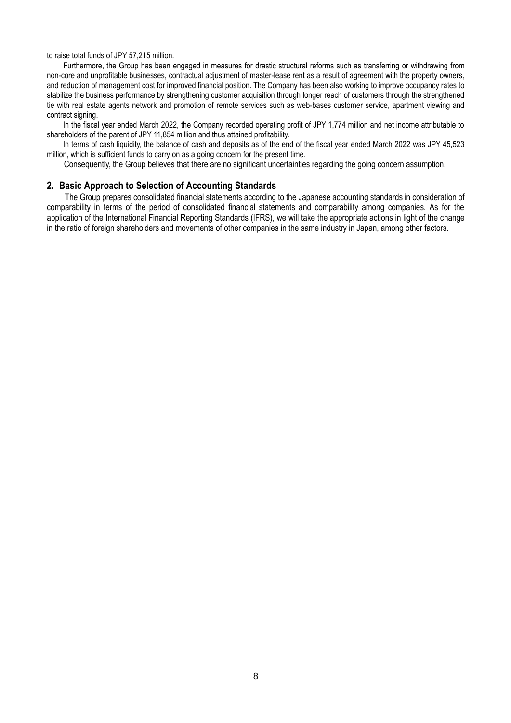to raise total funds of JPY 57,215 million.

Furthermore, the Group has been engaged in measures for drastic structural reforms such as transferring or withdrawing from non-core and unprofitable businesses, contractual adjustment of master-lease rent as a result of agreement with the property owners, and reduction of management cost for improved financial position. The Company has been also working to improve occupancy rates to stabilize the business performance by strengthening customer acquisition through longer reach of customers through the strengthened tie with real estate agents network and promotion of remote services such as web-bases customer service, apartment viewing and contract signing.

In the fiscal year ended March 2022, the Company recorded operating profit of JPY 1,774 million and net income attributable to shareholders of the parent of JPY 11,854 million and thus attained profitability.

In terms of cash liquidity, the balance of cash and deposits as of the end of the fiscal year ended March 2022 was JPY 45,523 million, which is sufficient funds to carry on as a going concern for the present time.

Consequently, the Group believes that there are no significant uncertainties regarding the going concern assumption.

### <span id="page-7-0"></span>**2. Basic Approach to Selection of Accounting Standards**

The Group prepares consolidated financial statements according to the Japanese accounting standards in consideration of comparability in terms of the period of consolidated financial statements and comparability among companies. As for the application of the International Financial Reporting Standards (IFRS), we will take the appropriate actions in light of the change in the ratio of foreign shareholders and movements of other companies in the same industry in Japan, among other factors.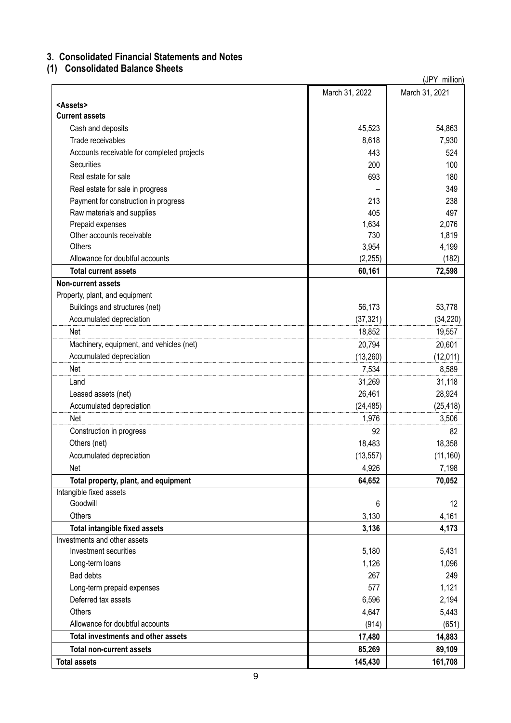# <span id="page-8-0"></span>**3. Consolidated Financial Statements and Notes**

# <span id="page-8-1"></span>**(1) Consolidated Balance Sheets**

|                                            |                | (JPY million)  |
|--------------------------------------------|----------------|----------------|
|                                            | March 31, 2022 | March 31, 2021 |
| <assets></assets>                          |                |                |
| <b>Current assets</b>                      |                |                |
| Cash and deposits                          | 45,523         | 54,863         |
| Trade receivables                          | 8,618          | 7,930          |
| Accounts receivable for completed projects | 443            | 524            |
| Securities                                 | 200            | 100            |
| Real estate for sale                       | 693            | 180            |
| Real estate for sale in progress           |                | 349            |
| Payment for construction in progress       | 213            | 238            |
| Raw materials and supplies                 | 405            | 497            |
| Prepaid expenses                           | 1,634          | 2,076          |
| Other accounts receivable                  | 730            | 1,819          |
| Others                                     | 3,954          | 4,199          |
| Allowance for doubtful accounts            | (2, 255)       | (182)          |
| <b>Total current assets</b>                | 60,161         | 72,598         |
| <b>Non-current assets</b>                  |                |                |
| Property, plant, and equipment             |                |                |
| Buildings and structures (net)             | 56,173         | 53,778         |
| Accumulated depreciation                   | (37, 321)      | (34, 220)      |
| Net                                        | 18,852         | 19,557         |
| Machinery, equipment, and vehicles (net)   | 20,794         | 20,601         |
| Accumulated depreciation                   | (13, 260)      | (12, 011)      |
| Net                                        | 7,534          | 8,589          |
| Land                                       | 31,269         | 31,118         |
| Leased assets (net)                        | 26,461         | 28,924         |
| Accumulated depreciation                   | (24, 485)      | (25, 418)      |
| Net                                        | 1,976          | 3,506          |
| Construction in progress                   | 92             | 82             |
| Others (net)                               | 18,483         | 18,358         |
| Accumulated depreciation                   | (13, 557)      | (11, 160)      |
| Net                                        | 4,926          | 7,198          |
| Total property, plant, and equipment       | 64,652         | 70,052         |
| Intangible fixed assets                    |                |                |
| Goodwill                                   | 6              | 12             |
| Others                                     | 3,130          | 4,161          |
| Total intangible fixed assets              | 3,136          | 4,173          |
| Investments and other assets               |                |                |
| Investment securities                      | 5,180          | 5,431          |
| Long-term loans                            | 1,126          | 1,096          |
| <b>Bad debts</b>                           | 267            | 249            |
| Long-term prepaid expenses                 | 577            | 1,121          |
| Deferred tax assets                        | 6,596          | 2,194          |
| Others                                     | 4,647          | 5,443          |
| Allowance for doubtful accounts            | (914)          | (651)          |
| <b>Total investments and other assets</b>  | 17,480         | 14,883         |
| <b>Total non-current assets</b>            | 85,269         | 89,109         |
| <b>Total assets</b>                        | 145,430        | 161,708        |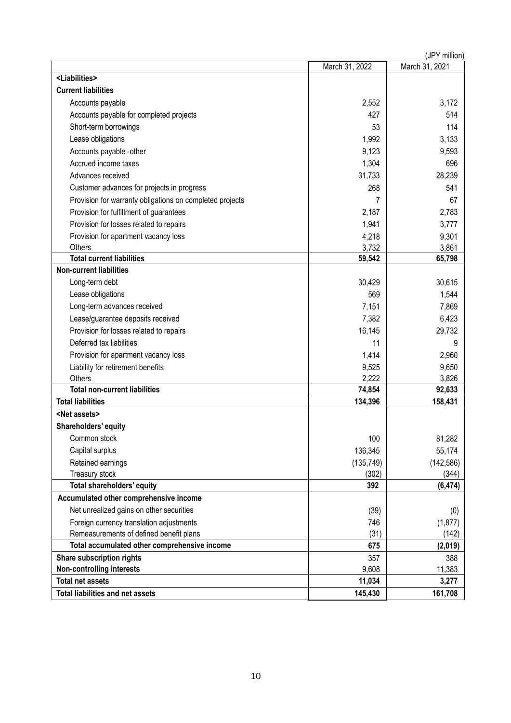|                                                          | (JPY million)  |                |  |  |  |  |
|----------------------------------------------------------|----------------|----------------|--|--|--|--|
|                                                          | March 31, 2022 | March 31, 2021 |  |  |  |  |
| <liabilities></liabilities>                              |                |                |  |  |  |  |
| <b>Current liabilities</b>                               |                |                |  |  |  |  |
| Accounts payable                                         | 2,552          | 3,172          |  |  |  |  |
| Accounts payable for completed projects                  | 427            | 514            |  |  |  |  |
| Short-term borrowings                                    | 53             | 114            |  |  |  |  |
| Lease obligations                                        | 1,992          | 3,133          |  |  |  |  |
| Accounts payable -other                                  | 9,123          | 9,593          |  |  |  |  |
| Accrued income taxes                                     | 1,304          | 696            |  |  |  |  |
| Advances received                                        | 31,733         | 28,239         |  |  |  |  |
| Customer advances for projects in progress               | 268            | 541            |  |  |  |  |
| Provision for warranty obligations on completed projects | 7              | 67             |  |  |  |  |
| Provision for fulfillment of guarantees                  | 2,187          | 2,783          |  |  |  |  |
| Provision for losses related to repairs                  | 1,941          | 3,777          |  |  |  |  |
| Provision for apartment vacancy loss                     | 4,218          | 9,301          |  |  |  |  |
| Others                                                   | 3,732          | 3,861          |  |  |  |  |
| <b>Total current liabilities</b>                         | 59,542         | 65,798         |  |  |  |  |
| <b>Non-current liabilities</b>                           |                |                |  |  |  |  |
| Long-term debt                                           | 30,429         | 30,615         |  |  |  |  |
| Lease obligations                                        | 569            | 1,544          |  |  |  |  |
| Long-term advances received                              | 7,151          | 7,869          |  |  |  |  |
| Lease/guarantee deposits received                        | 7,382          | 6,423          |  |  |  |  |
| Provision for losses related to repairs                  | 16,145         | 29,732         |  |  |  |  |
| Deferred tax liabilities                                 | 11             | 9              |  |  |  |  |
| Provision for apartment vacancy loss                     | 1,414          | 2,960          |  |  |  |  |
| Liability for retirement benefits                        | 9,525          | 9,650          |  |  |  |  |
| Others                                                   | 2,222          | 3,826          |  |  |  |  |
| <b>Total non-current liabilities</b>                     | 74,854         | 92,633         |  |  |  |  |
| <b>Total liabilities</b>                                 | 134,396        | 158,431        |  |  |  |  |
| <net assets=""></net>                                    |                |                |  |  |  |  |
| Shareholders' equity                                     |                |                |  |  |  |  |
| Common stock                                             | 100            | 81,282         |  |  |  |  |
| Capital surplus                                          | 136,345        | 55,174         |  |  |  |  |
| Retained earnings                                        | (135, 749)     | (142, 586)     |  |  |  |  |
| Treasury stock                                           | (302)          | (344)          |  |  |  |  |
| Total shareholders' equity                               | 392            | (6, 474)       |  |  |  |  |
| Accumulated other comprehensive income                   |                |                |  |  |  |  |
| Net unrealized gains on other securities                 | (39)           | (0)            |  |  |  |  |
| Foreign currency translation adjustments                 | 746            | (1, 877)       |  |  |  |  |
| Remeasurements of defined benefit plans                  | (31)           | (142)          |  |  |  |  |
| Total accumulated other comprehensive income             | 675            | (2,019)        |  |  |  |  |
| Share subscription rights                                | 357            | 388            |  |  |  |  |
| <b>Non-controlling interests</b>                         | 9,608          | 11,383         |  |  |  |  |
| <b>Total net assets</b>                                  | 11,034         | 3,277          |  |  |  |  |
| <b>Total liabilities and net assets</b>                  | 145,430        | 161,708        |  |  |  |  |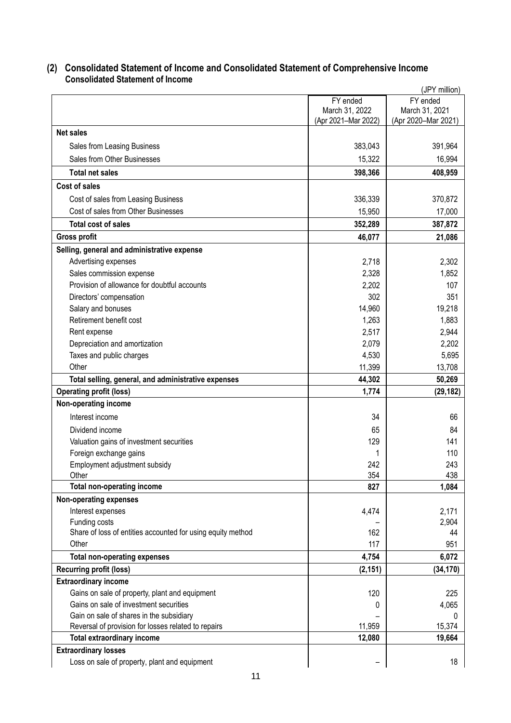## <span id="page-10-0"></span>**(2) Consolidated Statement of Income and Consolidated Statement of Comprehensive Income Consolidated Statement of Income**

<span id="page-10-1"></span>

|                                                                                          |                     | (JPY million)       |
|------------------------------------------------------------------------------------------|---------------------|---------------------|
|                                                                                          | FY ended            | FY ended            |
|                                                                                          | March 31, 2022      | March 31, 2021      |
|                                                                                          | (Apr 2021-Mar 2022) | (Apr 2020-Mar 2021) |
| <b>Net sales</b>                                                                         |                     |                     |
| Sales from Leasing Business                                                              | 383,043             | 391,964             |
| Sales from Other Businesses                                                              | 15,322              | 16,994              |
| <b>Total net sales</b>                                                                   | 398,366             | 408,959             |
| <b>Cost of sales</b>                                                                     |                     |                     |
| Cost of sales from Leasing Business                                                      | 336,339             | 370,872             |
| Cost of sales from Other Businesses                                                      | 15,950              | 17,000              |
| <b>Total cost of sales</b>                                                               | 352,289             | 387,872             |
| <b>Gross profit</b>                                                                      | 46,077              | 21,086              |
| Selling, general and administrative expense                                              |                     |                     |
| Advertising expenses                                                                     | 2,718               | 2,302               |
| Sales commission expense                                                                 | 2,328               | 1,852               |
| Provision of allowance for doubtful accounts                                             | 2,202               | 107                 |
| Directors' compensation                                                                  | 302                 | 351                 |
| Salary and bonuses                                                                       | 14,960              | 19,218              |
| Retirement benefit cost                                                                  | 1,263               | 1,883               |
| Rent expense                                                                             | 2,517               | 2,944               |
| Depreciation and amortization                                                            | 2,079               | 2,202               |
| Taxes and public charges                                                                 | 4,530               | 5,695               |
| Other                                                                                    | 11,399              | 13,708              |
| Total selling, general, and administrative expenses                                      | 44,302              | 50,269              |
| <b>Operating profit (loss)</b>                                                           | 1,774               | (29, 182)           |
| Non-operating income                                                                     |                     |                     |
| Interest income                                                                          | 34                  | 66                  |
| Dividend income                                                                          | 65                  | 84                  |
| Valuation gains of investment securities                                                 | 129                 | 141                 |
| Foreign exchange gains                                                                   |                     | 110                 |
| Employment adjustment subsidy                                                            | 242                 | 243                 |
| Other                                                                                    | 354                 | 438                 |
| <b>Total non-operating income</b>                                                        | 827                 | 1,084               |
| Non-operating expenses                                                                   |                     |                     |
| Interest expenses                                                                        | 4,474               | 2,171               |
| Funding costs                                                                            |                     | 2,904               |
| Share of loss of entities accounted for using equity method                              | 162                 | 44                  |
| Other                                                                                    | 117                 | 951                 |
| <b>Total non-operating expenses</b>                                                      | 4,754               | 6,072               |
| <b>Recurring profit (loss)</b>                                                           | (2, 151)            | (34, 170)           |
| <b>Extraordinary income</b>                                                              |                     |                     |
| Gains on sale of property, plant and equipment                                           | 120                 | 225                 |
| Gains on sale of investment securities                                                   | 0                   | 4,065               |
| Gain on sale of shares in the subsidiary                                                 |                     | 0<br>15,374         |
| Reversal of provision for losses related to repairs<br><b>Total extraordinary income</b> | 11,959<br>12,080    | 19,664              |
|                                                                                          |                     |                     |
| <b>Extraordinary losses</b><br>Loss on sale of property, plant and equipment             |                     | 18                  |
|                                                                                          |                     |                     |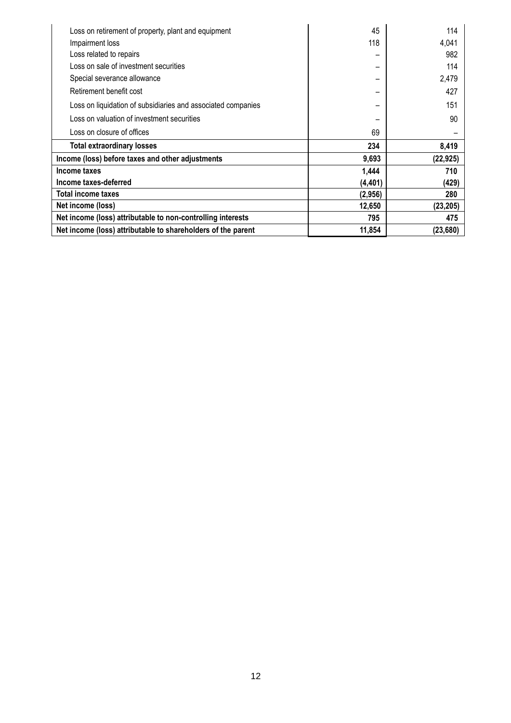| Loss on retirement of property, plant and equipment          | 45       | 114       |
|--------------------------------------------------------------|----------|-----------|
| Impairment loss                                              | 118      | 4,041     |
| Loss related to repairs                                      |          | 982       |
| Loss on sale of investment securities                        |          | 114       |
| Special severance allowance                                  |          | 2,479     |
| Retirement benefit cost                                      |          | 427       |
| Loss on liquidation of subsidiaries and associated companies |          | 151       |
| Loss on valuation of investment securities                   |          | 90        |
| Loss on closure of offices                                   | 69       |           |
| <b>Total extraordinary losses</b>                            | 234      | 8,419     |
| Income (loss) before taxes and other adjustments             | 9,693    | (22, 925) |
| Income taxes                                                 | 1,444    | 710       |
| Income taxes-deferred                                        | (4, 401) | (429)     |
| Total income taxes                                           | (2,956)  | 280       |
| Net income (loss)                                            | 12,650   | (23, 205) |
| Net income (loss) attributable to non-controlling interests  | 795      | 475       |
| Net income (loss) attributable to shareholders of the parent | 11,854   | (23, 680) |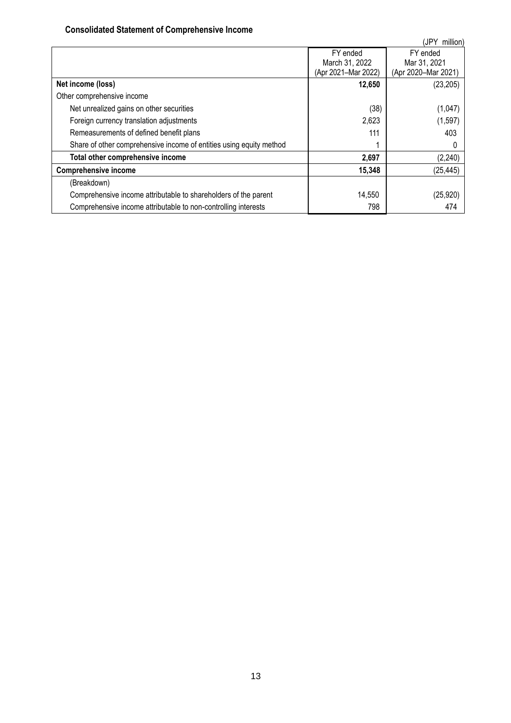# **Consolidated Statement of Comprehensive Income**

<span id="page-12-0"></span>

|                                                                     |                     | (JPY<br>million)    |
|---------------------------------------------------------------------|---------------------|---------------------|
|                                                                     | FY ended            | FY ended            |
|                                                                     | March 31, 2022      | Mar 31, 2021        |
|                                                                     | (Apr 2021-Mar 2022) | (Apr 2020-Mar 2021) |
| Net income (loss)                                                   | 12,650              | (23, 205)           |
| Other comprehensive income                                          |                     |                     |
| Net unrealized gains on other securities                            | (38)                | (1,047)             |
| Foreign currency translation adjustments                            | 2,623               | (1, 597)            |
| Remeasurements of defined benefit plans                             | 111                 | 403                 |
| Share of other comprehensive income of entities using equity method |                     |                     |
| Total other comprehensive income                                    | 2,697               | (2, 240)            |
| <b>Comprehensive income</b>                                         | 15,348              | (25, 445)           |
| (Breakdown)                                                         |                     |                     |
| Comprehensive income attributable to shareholders of the parent     | 14,550              | (25, 920)           |
| Comprehensive income attributable to non-controlling interests      | 798                 | 474                 |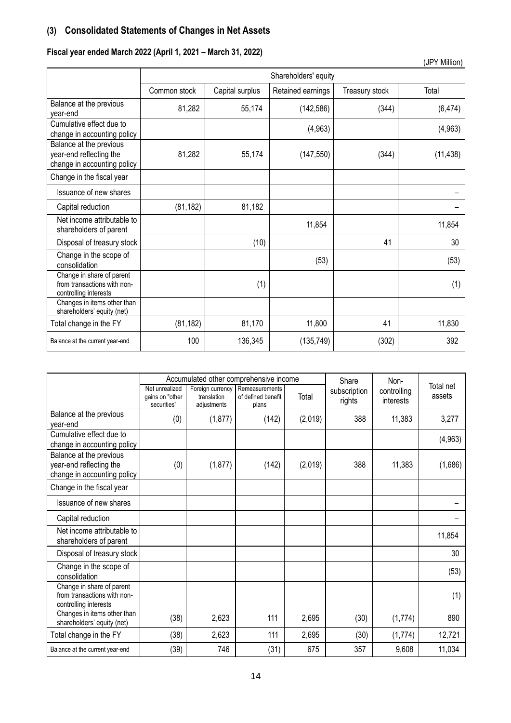# <span id="page-13-0"></span>**(3) Consolidated Statements of Changes in Net Assets**

# **Fiscal year ended March 2022 (April 1, 2021 – March 31, 2022)**

|                                                                                   |              |                 |                      |                | (JPY Million) |
|-----------------------------------------------------------------------------------|--------------|-----------------|----------------------|----------------|---------------|
|                                                                                   |              |                 | Shareholders' equity |                |               |
|                                                                                   | Common stock | Capital surplus | Retained earnings    | Treasury stock | Total         |
| Balance at the previous<br>year-end                                               | 81,282       | 55,174          | (142, 586)           | (344)          | (6, 474)      |
| Cumulative effect due to<br>change in accounting policy                           |              |                 | (4, 963)             |                | (4,963)       |
| Balance at the previous<br>year-end reflecting the<br>change in accounting policy | 81,282       | 55,174          | (147, 550)           | (344)          | (11, 438)     |
| Change in the fiscal year                                                         |              |                 |                      |                |               |
| Issuance of new shares                                                            |              |                 |                      |                |               |
| Capital reduction                                                                 | (81, 182)    | 81,182          |                      |                |               |
| Net income attributable to<br>shareholders of parent                              |              |                 | 11,854               |                | 11,854        |
| Disposal of treasury stock                                                        |              | (10)            |                      | 41             | 30            |
| Change in the scope of<br>consolidation                                           |              |                 | (53)                 |                | (53)          |
| Change in share of parent<br>from transactions with non-<br>controlling interests |              | (1)             |                      |                | (1)           |
| Changes in items other than<br>shareholders' equity (net)                         |              |                 |                      |                |               |
| Total change in the FY                                                            | (81, 182)    | 81,170          | 11,800               | 41             | 11,830        |
| Balance at the current year-end                                                   | 100          | 136,345         | (135, 749)           | (302)          | 392           |

|                                                                                   |                                                  |                                                | Accumulated other comprehensive income        |         | Share                  | Non-                     |                     |
|-----------------------------------------------------------------------------------|--------------------------------------------------|------------------------------------------------|-----------------------------------------------|---------|------------------------|--------------------------|---------------------|
|                                                                                   | Net unrealized<br>gains on "other<br>securities" | Foreign currency<br>translation<br>adjustments | Remeasurements<br>of defined benefit<br>plans | Total   | subscription<br>rights | controlling<br>interests | Total net<br>assets |
| Balance at the previous<br>year-end                                               | (0)                                              | (1, 877)                                       | (142)                                         | (2,019) | 388                    | 11,383                   | 3,277               |
| Cumulative effect due to<br>change in accounting policy                           |                                                  |                                                |                                               |         |                        |                          | (4, 963)            |
| Balance at the previous<br>year-end reflecting the<br>change in accounting policy | (0)                                              | (1, 877)                                       | (142)                                         | (2,019) | 388                    | 11,383                   | (1,686)             |
| Change in the fiscal year                                                         |                                                  |                                                |                                               |         |                        |                          |                     |
| Issuance of new shares                                                            |                                                  |                                                |                                               |         |                        |                          |                     |
| Capital reduction                                                                 |                                                  |                                                |                                               |         |                        |                          |                     |
| Net income attributable to<br>shareholders of parent                              |                                                  |                                                |                                               |         |                        |                          | 11,854              |
| Disposal of treasury stock                                                        |                                                  |                                                |                                               |         |                        |                          | 30                  |
| Change in the scope of<br>consolidation                                           |                                                  |                                                |                                               |         |                        |                          | (53)                |
| Change in share of parent<br>from transactions with non-<br>controlling interests |                                                  |                                                |                                               |         |                        |                          | (1)                 |
| Changes in items other than<br>shareholders' equity (net)                         | (38)                                             | 2,623                                          | 111                                           | 2,695   | (30)                   | (1, 774)                 | 890                 |
| Total change in the FY                                                            | (38)                                             | 2,623                                          | 111                                           | 2,695   | (30)                   | (1, 774)                 | 12,721              |
| Balance at the current year-end                                                   | (39)                                             | 746                                            | (31)                                          | 675     | 357                    | 9,608                    | 11,034              |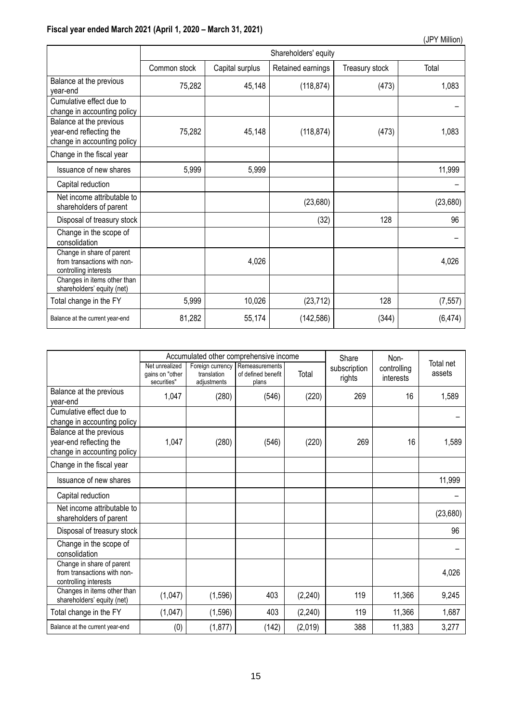|                                                                                   |              | Shareholders' equity |                   |                |          |  |  |  |  |
|-----------------------------------------------------------------------------------|--------------|----------------------|-------------------|----------------|----------|--|--|--|--|
|                                                                                   | Common stock | Capital surplus      | Retained earnings | Treasury stock | Total    |  |  |  |  |
| Balance at the previous<br>year-end                                               | 75,282       | 45,148               | (118, 874)        | (473)          | 1,083    |  |  |  |  |
| Cumulative effect due to<br>change in accounting policy                           |              |                      |                   |                |          |  |  |  |  |
| Balance at the previous<br>year-end reflecting the<br>change in accounting policy | 75,282       | 45,148               | (118, 874)        | (473)          | 1,083    |  |  |  |  |
| Change in the fiscal year                                                         |              |                      |                   |                |          |  |  |  |  |
| Issuance of new shares                                                            | 5,999        | 5,999                |                   |                | 11,999   |  |  |  |  |
| Capital reduction                                                                 |              |                      |                   |                |          |  |  |  |  |
| Net income attributable to<br>shareholders of parent                              |              |                      | (23,680)          |                | (23,680) |  |  |  |  |
| Disposal of treasury stock                                                        |              |                      | (32)              | 128            | 96       |  |  |  |  |
| Change in the scope of<br>consolidation                                           |              |                      |                   |                |          |  |  |  |  |
| Change in share of parent<br>from transactions with non-<br>controlling interests |              | 4,026                |                   |                | 4,026    |  |  |  |  |
| Changes in items other than<br>shareholders' equity (net)                         |              |                      |                   |                |          |  |  |  |  |
| Total change in the FY                                                            | 5,999        | 10,026               | (23, 712)         | 128            | (7, 557) |  |  |  |  |
| Balance at the current year-end                                                   | 81,282       | 55,174               | (142, 586)        | (344)          | (6, 474) |  |  |  |  |

|                                                                                   |                                                  |                                                | Accumulated other comprehensive income        | Share    | Non-                   |                          |                     |
|-----------------------------------------------------------------------------------|--------------------------------------------------|------------------------------------------------|-----------------------------------------------|----------|------------------------|--------------------------|---------------------|
|                                                                                   | Net unrealized<br>gains on "other<br>securities" | Foreign currency<br>translation<br>adjustments | Remeasurements<br>of defined benefit<br>plans | Total    | subscription<br>rights | controlling<br>interests | Total net<br>assets |
| Balance at the previous<br>year-end                                               | 1,047                                            | (280)                                          | (546)                                         | (220)    | 269                    | 16                       | 1,589               |
| Cumulative effect due to<br>change in accounting policy                           |                                                  |                                                |                                               |          |                        |                          |                     |
| Balance at the previous<br>year-end reflecting the<br>change in accounting policy | 1,047                                            | (280)                                          | (546)                                         | (220)    | 269                    | 16                       | 1,589               |
| Change in the fiscal year                                                         |                                                  |                                                |                                               |          |                        |                          |                     |
| Issuance of new shares                                                            |                                                  |                                                |                                               |          |                        |                          | 11,999              |
| Capital reduction                                                                 |                                                  |                                                |                                               |          |                        |                          |                     |
| Net income attributable to<br>shareholders of parent                              |                                                  |                                                |                                               |          |                        |                          | (23, 680)           |
| Disposal of treasury stock                                                        |                                                  |                                                |                                               |          |                        |                          | 96                  |
| Change in the scope of<br>consolidation                                           |                                                  |                                                |                                               |          |                        |                          |                     |
| Change in share of parent<br>from transactions with non-<br>controlling interests |                                                  |                                                |                                               |          |                        |                          | 4,026               |
| Changes in items other than<br>shareholders' equity (net)                         | (1,047)                                          | (1, 596)                                       | 403                                           | (2, 240) | 119                    | 11,366                   | 9,245               |
| Total change in the FY                                                            | (1,047)                                          | (1, 596)                                       | 403                                           | (2, 240) | 119                    | 11,366                   | 1,687               |
| Balance at the current year-end                                                   | (0)                                              | (1, 877)                                       | (142)                                         | (2,019)  | 388                    | 11,383                   | 3,277               |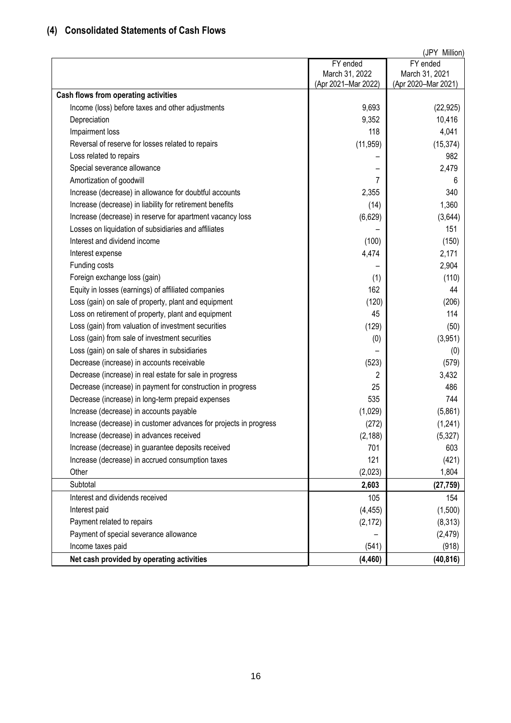# <span id="page-15-0"></span>**(4) Consolidated Statements of Cash Flows**

|                                                                   |                     | (JPY Million)       |
|-------------------------------------------------------------------|---------------------|---------------------|
|                                                                   | FY ended            | FY ended            |
|                                                                   | March 31, 2022      | March 31, 2021      |
|                                                                   | (Apr 2021-Mar 2022) | (Apr 2020-Mar 2021) |
| Cash flows from operating activities                              |                     |                     |
| Income (loss) before taxes and other adjustments                  | 9,693               | (22, 925)           |
| Depreciation                                                      | 9,352               | 10,416              |
| Impairment loss                                                   | 118                 | 4,041               |
| Reversal of reserve for losses related to repairs                 | (11, 959)           | (15, 374)           |
| Loss related to repairs                                           |                     | 982                 |
| Special severance allowance                                       |                     | 2,479               |
| Amortization of goodwill                                          | 7                   | 6                   |
| Increase (decrease) in allowance for doubtful accounts            | 2,355               | 340                 |
| Increase (decrease) in liability for retirement benefits          | (14)                | 1,360               |
| Increase (decrease) in reserve for apartment vacancy loss         | (6,629)             | (3,644)             |
| Losses on liquidation of subsidiaries and affiliates              |                     | 151                 |
| Interest and dividend income                                      | (100)               | (150)               |
| Interest expense                                                  | 4,474               | 2,171               |
| Funding costs                                                     |                     | 2,904               |
| Foreign exchange loss (gain)                                      | (1)                 | (110)               |
| Equity in losses (earnings) of affiliated companies               | 162                 | 44                  |
| Loss (gain) on sale of property, plant and equipment              | (120)               | (206)               |
| Loss on retirement of property, plant and equipment               | 45                  | 114                 |
| Loss (gain) from valuation of investment securities               | (129)               | (50)                |
| Loss (gain) from sale of investment securities                    | (0)                 | (3,951)             |
| Loss (gain) on sale of shares in subsidiaries                     |                     | (0)                 |
| Decrease (increase) in accounts receivable                        | (523)               | (579)               |
| Decrease (increase) in real estate for sale in progress           | 2                   | 3,432               |
| Decrease (increase) in payment for construction in progress       | 25                  | 486                 |
| Decrease (increase) in long-term prepaid expenses                 | 535                 | 744                 |
| Increase (decrease) in accounts payable                           | (1,029)             | (5,861)             |
| Increase (decrease) in customer advances for projects in progress | (272)               | (1, 241)            |
| Increase (decrease) in advances received                          | (2, 188)            | (5, 327)            |
| Increase (decrease) in guarantee deposits received                | 701                 | 603                 |
| Increase (decrease) in accrued consumption taxes                  | 121                 | (421)               |
| Other                                                             | (2,023)             | 1,804               |
| Subtotal                                                          | 2,603               | (27, 759)           |
| Interest and dividends received                                   | 105                 | 154                 |
|                                                                   |                     |                     |
| Interest paid                                                     | (4, 455)            | (1,500)             |
| Payment related to repairs                                        | (2, 172)            | (8, 313)            |
| Payment of special severance allowance                            |                     | (2, 479)            |
| Income taxes paid                                                 | (541)               | (918)               |
| Net cash provided by operating activities                         | (4, 460)            | (40, 816)           |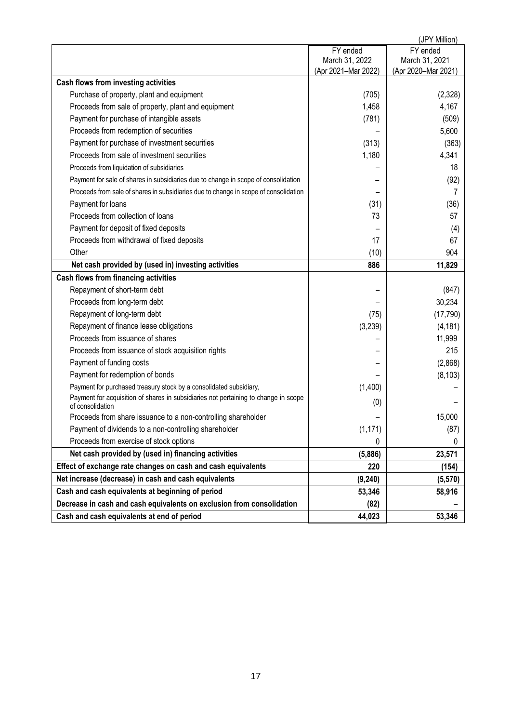|                                                                                                         |                     | (JPY Million)       |
|---------------------------------------------------------------------------------------------------------|---------------------|---------------------|
|                                                                                                         | FY ended            | FY ended            |
|                                                                                                         | March 31, 2022      | March 31, 2021      |
|                                                                                                         | (Apr 2021-Mar 2022) | (Apr 2020-Mar 2021) |
| Cash flows from investing activities                                                                    |                     |                     |
| Purchase of property, plant and equipment                                                               | (705)               | (2,328)             |
| Proceeds from sale of property, plant and equipment                                                     | 1,458               | 4,167               |
| Payment for purchase of intangible assets                                                               | (781)               | (509)               |
| Proceeds from redemption of securities                                                                  |                     | 5,600               |
| Payment for purchase of investment securities                                                           | (313)               | (363)               |
| Proceeds from sale of investment securities                                                             | 1,180               | 4,341               |
| Proceeds from liquidation of subsidiaries                                                               |                     | 18                  |
| Payment for sale of shares in subsidiaries due to change in scope of consolidation                      |                     | (92)                |
| Proceeds from sale of shares in subsidiaries due to change in scope of consolidation                    |                     | 7                   |
| Payment for loans                                                                                       | (31)                | (36)                |
| Proceeds from collection of loans                                                                       | 73                  | 57                  |
| Payment for deposit of fixed deposits                                                                   |                     | (4)                 |
| Proceeds from withdrawal of fixed deposits                                                              | 17                  | 67                  |
| Other                                                                                                   | (10)                | 904                 |
| Net cash provided by (used in) investing activities                                                     | 886                 | 11,829              |
| Cash flows from financing activities                                                                    |                     |                     |
| Repayment of short-term debt                                                                            |                     | (847)               |
| Proceeds from long-term debt                                                                            |                     | 30,234              |
| Repayment of long-term debt                                                                             | (75)                | (17, 790)           |
| Repayment of finance lease obligations                                                                  | (3,239)             | (4, 181)            |
| Proceeds from issuance of shares                                                                        |                     | 11,999              |
| Proceeds from issuance of stock acquisition rights                                                      |                     | 215                 |
| Payment of funding costs                                                                                |                     | (2,868)             |
| Payment for redemption of bonds                                                                         |                     | (8, 103)            |
| Payment for purchased treasury stock by a consolidated subsidiary,                                      | (1,400)             |                     |
| Payment for acquisition of shares in subsidiaries not pertaining to change in scope<br>of consolidation | (0)                 |                     |
| Proceeds from share issuance to a non-controlling shareholder                                           |                     | 15,000              |
| Payment of dividends to a non-controlling shareholder                                                   | (1, 171)            | (87)                |
| Proceeds from exercise of stock options                                                                 | 0                   | 0                   |
| Net cash provided by (used in) financing activities                                                     | (5,886)             | 23,571              |
| Effect of exchange rate changes on cash and cash equivalents                                            | 220                 | (154)               |
| Net increase (decrease) in cash and cash equivalents                                                    | (9, 240)            | (5,570)             |
| Cash and cash equivalents at beginning of period                                                        | 53,346              | 58,916              |
| Decrease in cash and cash equivalents on exclusion from consolidation                                   | (82)                |                     |
| Cash and cash equivalents at end of period                                                              | 44,023              | 53,346              |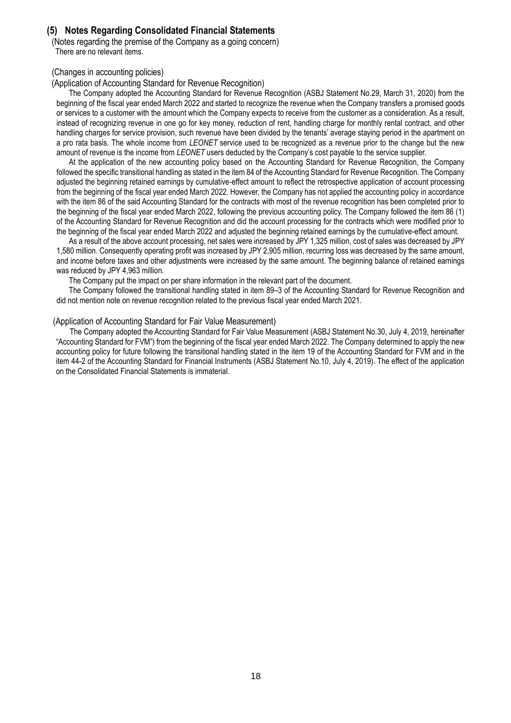## <span id="page-17-0"></span>**(5) Notes Regarding Consolidated Financial Statements**

<span id="page-17-1"></span>(Notes regarding the premise of the Company as a going concern) There are no relevant items.

### <span id="page-17-2"></span>(Changes in accounting policies)

(Application of Accounting Standard for Revenue Recognition)

The Company adopted the Accounting Standard for Revenue Recognition (ASBJ Statement No.29, March 31, 2020) from the beginning of the fiscal year ended March 2022 and started to recognize the revenue when the Company transfers a promised goods or services to a customer with the amount which the Company expects to receive from the customer as a consideration. As a result, instead of recognizing revenue in one go for key money, reduction of rent, handling charge for monthly rental contract, and other handling charges for service provision, such revenue have been divided by the tenants' average staying period in the apartment on a pro rata basis. The whole income from *LEONET* service used to be recognized as a revenue prior to the change but the new amount of revenue is the income from *LEONET* users deducted by the Company's cost payable to the service supplier.

At the application of the new accounting policy based on the Accounting Standard for Revenue Recognition, the Company followed the specific transitional handling as stated in the item 84 of the Accounting Standard for Revenue Recognition. The Company adjusted the beginning retained earnings by cumulative-effect amount to reflect the retrospective application of account processing from the beginning of the fiscal year ended March 2022. However, the Company has not applied the accounting policy in accordance with the item 86 of the said Accounting Standard for the contracts with most of the revenue recognition has been completed prior to the beginning of the fiscal year ended March 2022, following the previous accounting policy. The Company followed the item 86 (1) of the Accounting Standard for Revenue Recognition and did the account processing for the contracts which were modified prior to the beginning of the fiscal year ended March 2022 and adjusted the beginning retained earnings by the cumulative-effect amount.

As a result of the above account processing, net sales were increased by JPY 1,325 million, cost of sales was decreased by JPY 1,580 million. Consequently operating profit was increased by JPY 2,905 million, recurring loss was decreased by the same amount, and income before taxes and other adjustments were increased by the same amount. The beginning balance of retained earnings was reduced by JPY 4,963 million.

The Company put the impact on per share information in the relevant part of the document.

The Company followed the transitional handling stated in item 89–3 of the Accounting Standard for Revenue Recognition and did not mention note on revenue recognition related to the previous fiscal year ended March 2021.

#### (Application of Accounting Standard for Fair Value Measurement)

The Company adopted the Accounting Standard for Fair Value Measurement (ASBJ Statement No.30, July 4, 2019, hereinafter "Accounting Standard for FVM") from the beginning of the fiscal year ended March 2022. The Company determined to apply the new accounting policy for future following the transitional handling stated in the item 19 of the Accounting Standard for FVM and in the item 44-2 of the Accounting Standard for Financial Instruments (ASBJ Statement No.10, July 4, 2019). The effect of the application on the Consolidated Financial Statements is immaterial.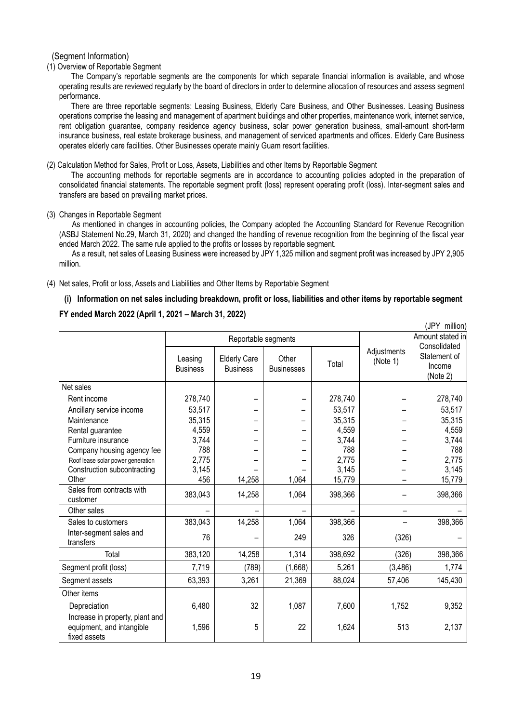<span id="page-18-0"></span>(Segment Information)

(1) Overview of Reportable Segment

The Company's reportable segments are the components for which separate financial information is available, and whose operating results are reviewed regularly by the board of directors in order to determine allocation of resources and assess segment performance.

There are three reportable segments: Leasing Business, Elderly Care Business, and Other Businesses. Leasing Business operations comprise the leasing and management of apartment buildings and other properties, maintenance work, internet service, rent obligation guarantee, company residence agency business, solar power generation business, small-amount short-term insurance business, real estate brokerage business, and management of serviced apartments and offices. Elderly Care Business operates elderly care facilities. Other Businesses operate mainly Guam resort facilities.

(2) Calculation Method for Sales, Profit or Loss, Assets, Liabilities and other Items by Reportable Segment

The accounting methods for reportable segments are in accordance to accounting policies adopted in the preparation of consolidated financial statements. The reportable segment profit (loss) represent operating profit (loss). Inter-segment sales and transfers are based on prevailing market prices.

#### (3) Changes in Reportable Segment

 As mentioned in changes in accounting policies, the Company adopted the Accounting Standard for Revenue Recognition (ASBJ Statement No.29, March 31, 2020) and changed the handling of revenue recognition from the beginning of the fiscal year ended March 2022. The same rule applied to the profits or losses by reportable segment.

As a result, net sales of Leasing Business were increased by JPY 1,325 million and segment profit was increased by JPY 2,905 million.

(4) Net sales, Profit or loss, Assets and Liabilities and Other Items by Reportable Segment

### **(i) Information on net sales including breakdown, profit or loss, liabilities and other items by reportable segment**

(JPY million)

### **FY ended March 2022 (April 1, 2021 – March 31, 2022)**

|                                                                              |                            |                                        | , ויטוויוויווי וט          |         |                          |                                    |
|------------------------------------------------------------------------------|----------------------------|----------------------------------------|----------------------------|---------|--------------------------|------------------------------------|
|                                                                              |                            | Reportable segments                    |                            |         |                          | Amount stated in<br>Consolidated   |
|                                                                              | Leasing<br><b>Business</b> | <b>Elderly Care</b><br><b>Business</b> | Other<br><b>Businesses</b> | Total   | Adjustments<br>(Note 1)  | Statement of<br>Income<br>(Note 2) |
| Net sales                                                                    |                            |                                        |                            |         |                          |                                    |
| Rent income                                                                  | 278,740                    |                                        |                            | 278,740 |                          | 278,740                            |
| Ancillary service income                                                     | 53,517                     |                                        |                            | 53,517  |                          | 53,517                             |
| Maintenance                                                                  | 35,315                     |                                        |                            | 35,315  |                          | 35,315                             |
| Rental guarantee                                                             | 4,559                      |                                        |                            | 4,559   |                          | 4,559                              |
| Furniture insurance                                                          | 3,744                      |                                        |                            | 3,744   |                          | 3,744                              |
| Company housing agency fee                                                   | 788                        |                                        |                            | 788     |                          | 788                                |
| Roof lease solar power generation                                            | 2,775                      |                                        |                            | 2,775   |                          | 2,775                              |
| Construction subcontracting                                                  | 3,145                      |                                        |                            | 3,145   |                          | 3,145                              |
| Other                                                                        | 456                        | 14,258                                 | 1,064                      | 15,779  |                          | 15,779                             |
| Sales from contracts with<br>customer                                        | 383,043                    | 14,258                                 | 1,064                      | 398,366 |                          | 398,366                            |
| Other sales                                                                  |                            |                                        |                            |         | $\overline{\phantom{0}}$ |                                    |
| Sales to customers                                                           | 383,043                    | 14,258                                 | 1,064                      | 398,366 |                          | 398,366                            |
| Inter-segment sales and<br>transfers                                         | 76                         |                                        | 249                        | 326     | (326)                    |                                    |
| Total                                                                        | 383,120                    | 14,258                                 | 1,314                      | 398,692 | (326)                    | 398,366                            |
| Segment profit (loss)                                                        | 7,719                      | (789)                                  | (1,668)                    | 5,261   | (3, 486)                 | 1,774                              |
| Segment assets                                                               | 63,393                     | 3,261                                  | 21,369                     | 88,024  | 57,406                   | 145,430                            |
| Other items                                                                  |                            |                                        |                            |         |                          |                                    |
| Depreciation                                                                 | 6,480                      | 32                                     | 1,087                      | 7,600   | 1,752                    | 9,352                              |
| Increase in property, plant and<br>equipment, and intangible<br>fixed assets | 1,596                      | 5                                      | 22                         | 1,624   | 513                      | 2,137                              |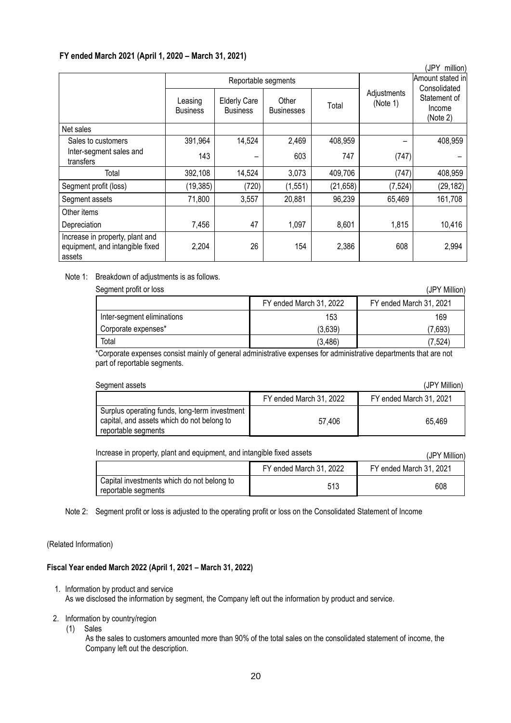### **FY ended March 2021 (April 1, 2020 – March 31, 2021)**

|                                                                              |                            |                                        |                            |           |                         | (JPY<br>million)                                   |
|------------------------------------------------------------------------------|----------------------------|----------------------------------------|----------------------------|-----------|-------------------------|----------------------------------------------------|
|                                                                              |                            | Reportable segments                    |                            |           | Amount stated in        |                                                    |
|                                                                              | Leasing<br><b>Business</b> | <b>Elderly Care</b><br><b>Business</b> | Other<br><b>Businesses</b> | Total     | Adjustments<br>(Note 1) | Consolidated<br>Statement of<br>Income<br>(Note 2) |
| Net sales                                                                    |                            |                                        |                            |           |                         |                                                    |
| Sales to customers                                                           | 391,964                    | 14,524                                 | 2,469                      | 408,959   |                         | 408,959                                            |
| Inter-segment sales and<br>transfers                                         | 143                        |                                        | 603                        | 747       | (747)                   |                                                    |
| Total                                                                        | 392,108                    | 14,524                                 | 3,073                      | 409,706   | (747)                   | 408,959                                            |
| Segment profit (loss)                                                        | (19, 385)                  | (720)                                  | (1, 551)                   | (21, 658) | (7, 524)                | (29, 182)                                          |
| Segment assets                                                               | 71,800                     | 3,557                                  | 20,881                     | 96,239    | 65,469                  | 161,708                                            |
| Other items                                                                  |                            |                                        |                            |           |                         |                                                    |
| Depreciation                                                                 | 7,456                      | 47                                     | 1,097                      | 8,601     | 1,815                   | 10,416                                             |
| Increase in property, plant and<br>equipment, and intangible fixed<br>assets | 2,204                      | 26                                     | 154                        | 2,386     | 608                     | 2,994                                              |

Note 1: Breakdown of adjustments is as follows.

| Segment profit or loss     |                         | (JPY Million)           |
|----------------------------|-------------------------|-------------------------|
|                            | FY ended March 31, 2022 | FY ended March 31, 2021 |
| Inter-segment eliminations | 153                     | 169                     |
| Corporate expenses*        | (3.639)                 | (7,693)                 |
| Total                      | (3, 486)                | (7,524)                 |

\*Corporate expenses consist mainly of general administrative expenses for administrative departments that are not part of reportable segments.

| Segment assets<br>(JPY Million)                                                                                    |                         |                         |  |  |  |
|--------------------------------------------------------------------------------------------------------------------|-------------------------|-------------------------|--|--|--|
|                                                                                                                    | FY ended March 31, 2022 | FY ended March 31, 2021 |  |  |  |
| Surplus operating funds, long-term investment<br>capital, and assets which do not belong to<br>reportable segments | 57.406                  | 65.469                  |  |  |  |

Increase in property, plant and equipment, and intangible fixed assets (JPY Million)

FY ended March 31, 2022 FY ended March 31, 2021 Capital investments which do not belong to Propried investments which do not belong to the segments of the segments of  $513$  608

Note 2: Segment profit or loss is adjusted to the operating profit or loss on the Consolidated Statement of Income

### (Related Information)

### **Fiscal Year ended March 2022 (April 1, 2021 – March 31, 2022)**

- 1. Information by product and service As we disclosed the information by segment, the Company left out the information by product and service.
- 2. Information by country/region
	- (1) Sales

As the sales to customers amounted more than 90% of the total sales on the consolidated statement of income, the Company left out the description.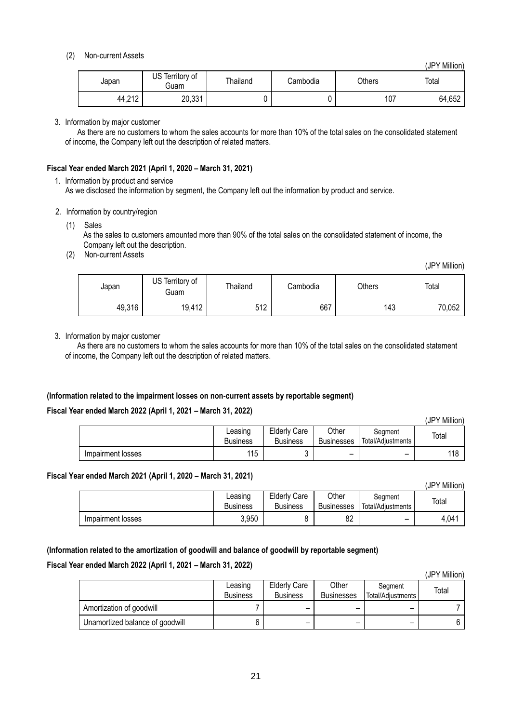### (2) Non-current Assets

(JPY Million)

| Japan  | US Territory of<br>Guam | Thailand | Cambodia | Others | Total  |
|--------|-------------------------|----------|----------|--------|--------|
| 44,212 | 20,331                  |          |          | 107    | 64,652 |

### 3. Information by major customer

As there are no customers to whom the sales accounts for more than 10% of the total sales on the consolidated statement of income, the Company left out the description of related matters.

### **Fiscal Year ended March 2021 (April 1, 2020 – March 31, 2021)**

1. Information by product and service As we disclosed the information by segment, the Company left out the information by product and service.

- 2. Information by country/region
	- (1) Sales As the sales to customers amounted more than 90% of the total sales on the consolidated statement of income, the Company left out the description.
	- (2) Non-current Assets

(JPY Million)

 $(1DVI)$  Million)

| Japan  | US Territory of<br>Guam | Thailand | Cambodia | Others | Total  |
|--------|-------------------------|----------|----------|--------|--------|
| 49,316 | 19,412                  | 512      | 667      | 143    | 70,052 |

3. Information by major customer

As there are no customers to whom the sales accounts for more than 10% of the total sales on the consolidated statement of income, the Company left out the description of related matters.

### **(Information related to the impairment losses on non-current assets by reportable segment)**

### **Fiscal Year ended March 2022 (April 1, 2021 – March 31, 2022)**

|                   |                            |                                        |                            |                              | ٦υΓ<br><b>IVIIIIUIII</b> |
|-------------------|----------------------------|----------------------------------------|----------------------------|------------------------------|--------------------------|
|                   | Leasınq<br><b>Business</b> | <b>Elderly Care</b><br><b>Business</b> | Other<br><b>Businesses</b> | Seament<br>Total/Adjustments | Total                    |
| Impairment losses | 115                        | ◠<br>u                                 | $\overline{\phantom{0}}$   | $\overline{\phantom{0}}$     | 118                      |

### **Fiscal Year ended March 2021 (April 1, 2020 – March 31, 2021)**

|                   |                            |                                        |                            |                              | (JPY Million) |
|-------------------|----------------------------|----------------------------------------|----------------------------|------------------------------|---------------|
|                   | Leasing<br><b>Business</b> | <b>Elderly Care</b><br><b>Business</b> | Other<br><b>Businesses</b> | Seament<br>Total/Adjustments | Total         |
| Impairment losses | 3,950                      | o                                      | 82                         | -                            | 4,04'         |

### **(Information related to the amortization of goodwill and balance of goodwill by reportable segment)**

### **Fiscal Year ended March 2022 (April 1, 2021 – March 31, 2022)**

|                                 |                 |                          |                   |                   | (JPY Million) |
|---------------------------------|-----------------|--------------------------|-------------------|-------------------|---------------|
|                                 | Leasing         | <b>Elderly Care</b>      | Other             | Segment           | Total         |
|                                 | <b>Business</b> | <b>Business</b>          | <b>Businesses</b> | Total/Adjustments |               |
| Amortization of goodwill        |                 | -                        |                   | -                 |               |
| Unamortized balance of goodwill | b               | $\overline{\phantom{0}}$ | -                 | -                 |               |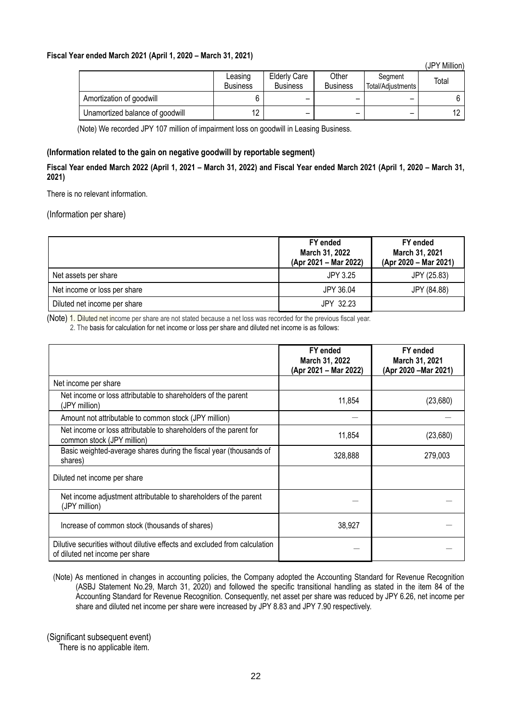### **Fiscal Year ended March 2021 (April 1, 2020 – March 31, 2021)**

|                                 |                            |                                        |                          |                              | IUT I<br>1711111 <b>011</b> |
|---------------------------------|----------------------------|----------------------------------------|--------------------------|------------------------------|-----------------------------|
|                                 | Leasing<br><b>Business</b> | <b>Elderly Care</b><br><b>Business</b> | Other<br><b>Business</b> | Segment<br>Total/Adiustments | Total                       |
| Amortization of goodwill        |                            | -                                      |                          |                              |                             |
| Unamortized balance of goodwill | 12                         | -                                      | -                        |                              |                             |

(JPY Million)

(Note) We recorded JPY 107 million of impairment loss on goodwill in Leasing Business.

### **(Information related to the gain on negative goodwill by reportable segment)**

**Fiscal Year ended March 2022 (April 1, 2021 – March 31, 2022) and Fiscal Year ended March 2021 (April 1, 2020 – March 31, 2021)**

There is no relevant information.

<span id="page-21-0"></span>(Information per share)

|                              | FY ended<br>March 31, 2022<br>(Apr 2021 – Mar 2022) | FY ended<br>March 31, 2021<br>(Apr 2020 - Mar 2021) |
|------------------------------|-----------------------------------------------------|-----------------------------------------------------|
| Net assets per share         | JPY 3.25                                            | JPY (25.83)                                         |
| Net income or loss per share | JPY 36.04                                           | JPY (84.88)                                         |
| Diluted net income per share | JPY 32.23                                           |                                                     |

(Note) 1. Diluted net income per share are not stated because a net loss was recorded for the previous fiscal year. 2. The basis for calculation for net income or loss per share and diluted net income is as follows:

|                                                                                                               | FY ended<br>March 31, 2022<br>(Apr 2021 – Mar 2022) | FY ended<br>March 31, 2021<br>(Apr 2020 - Mar 2021) |
|---------------------------------------------------------------------------------------------------------------|-----------------------------------------------------|-----------------------------------------------------|
| Net income per share                                                                                          |                                                     |                                                     |
| Net income or loss attributable to shareholders of the parent<br>(JPY million)                                | 11,854                                              | (23,680)                                            |
| Amount not attributable to common stock (JPY million)                                                         |                                                     |                                                     |
| Net income or loss attributable to shareholders of the parent for<br>common stock (JPY million)               | 11,854                                              | (23,680)                                            |
| Basic weighted-average shares during the fiscal year (thousands of<br>shares)                                 | 328,888                                             | 279,003                                             |
| Diluted net income per share                                                                                  |                                                     |                                                     |
| Net income adjustment attributable to shareholders of the parent<br>(JPY million)                             |                                                     |                                                     |
| Increase of common stock (thousands of shares)                                                                | 38,927                                              |                                                     |
| Dilutive securities without dilutive effects and excluded from calculation<br>of diluted net income per share |                                                     |                                                     |

(Note) As mentioned in changes in accounting policies, the Company adopted the Accounting Standard for Revenue Recognition (ASBJ Statement No.29, March 31, 2020) and followed the specific transitional handling as stated in the item 84 of the Accounting Standard for Revenue Recognition. Consequently, net asset per share was reduced by JPY 6.26, net income per share and diluted net income per share were increased by JPY 8.83 and JPY 7.90 respectively.

<span id="page-21-1"></span>(Significant subsequent event)

There is no applicable item.